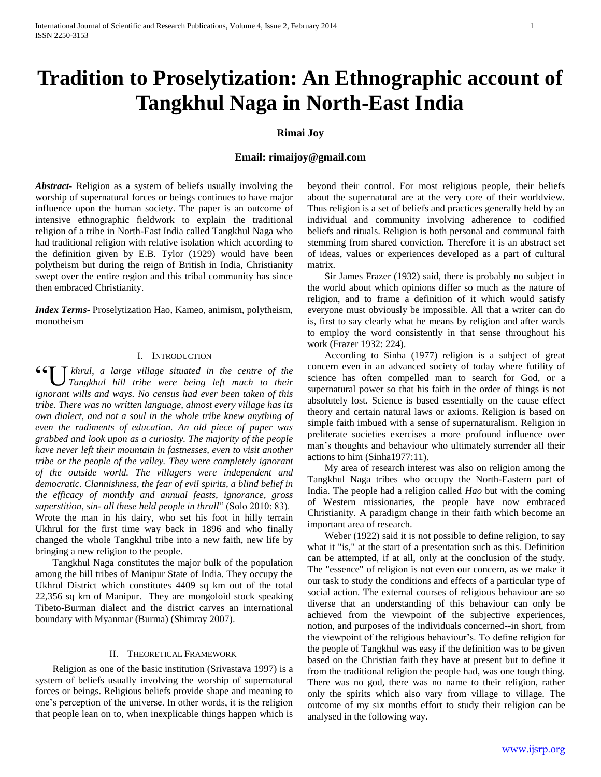# **Tradition to Proselytization: An Ethnographic account of Tangkhul Naga in North-East India**

## **Rimai Joy**

# **Email: rimaijoy@gmail.com**

*Abstract***-** Religion as a system of beliefs usually involving the worship of supernatural forces or beings continues to have major influence upon the human society. The paper is an outcome of intensive ethnographic fieldwork to explain the traditional religion of a tribe in North-East India called Tangkhul Naga who had traditional religion with relative isolation which according to the definition given by E.B. Tylor (1929) would have been polytheism but during the reign of British in India, Christianity swept over the entire region and this tribal community has since then embraced Christianity.

*Index Terms*- Proselytization Hao, Kameo, animism, polytheism, monotheism

# I. INTRODUCTION

*khrul, a large village situated in the centre of the Tangkhul hill tribe were being left much to their*  **44** *igmorant willage situated in the centre of the Tangkhul hill tribe were being left much to their ignorant wills and ways. No census had ever been taken of this*  $\frac{1}{2}$ *tribe. There was no written language, almost every village has its own dialect, and not a soul in the whole tribe knew anything of even the rudiments of education. An old piece of paper was grabbed and look upon as a curiosity. The majority of the people have never left their mountain in fastnesses, even to visit another tribe or the people of the valley. They were completely ignorant of the outside world. The villagers were independent and democratic. Clannishness, the fear of evil spirits, a blind belief in the efficacy of monthly and annual feasts, ignorance, gross superstition, sin- all these held people in thrall*" (Solo 2010: 83). Wrote the man in his dairy, who set his foot in hilly terrain Ukhrul for the first time way back in 1896 and who finally changed the whole Tangkhul tribe into a new faith, new life by bringing a new religion to the people.

 Tangkhul Naga constitutes the major bulk of the population among the hill tribes of Manipur State of India. They occupy the Ukhrul District which constitutes 4409 sq km out of the total 22,356 sq km of Manipur. They are mongoloid stock speaking Tibeto-Burman dialect and the district carves an international boundary with Myanmar (Burma) (Shimray 2007).

#### II. THEORETICAL FRAMEWORK

 Religion as one of the basic institution (Srivastava 1997) is a system of beliefs usually involving the worship of supernatural forces or beings. Religious beliefs provide shape and meaning to one's perception of the universe. In other words, it is the religion that people lean on to, when inexplicable things happen which is beyond their control. For most religious people, their beliefs about the supernatural are at the very core of their worldview. Thus religion is a set of beliefs and practices generally held by an individual and community involving adherence to codified beliefs and rituals. Religion is both personal and communal faith stemming from shared conviction. Therefore it is an abstract set of ideas, values or experiences developed as a part of cultural matrix.

 Sir James Frazer (1932) said, there is probably no subject in the world about which opinions differ so much as the nature of religion, and to frame a definition of it which would satisfy everyone must obviously be impossible. All that a writer can do is, first to say clearly what he means by religion and after wards to employ the word consistently in that sense throughout his work (Frazer 1932: 224).

 According to Sinha (1977) religion is a subject of great concern even in an advanced society of today where futility of science has often compelled man to search for God, or a supernatural power so that his faith in the order of things is not absolutely lost. Science is based essentially on the cause effect theory and certain natural laws or axioms. Religion is based on simple faith imbued with a sense of supernaturalism. Religion in preliterate societies exercises a more profound influence over man's thoughts and behaviour who ultimately surrender all their actions to him (Sinha1977:11).

 My area of research interest was also on religion among the Tangkhul Naga tribes who occupy the North-Eastern part of India. The people had a religion called *Hao* but with the coming of Western missionaries, the people have now embraced Christianity. A paradigm change in their faith which become an important area of research.

 Weber (1922) said it is not possible to define religion, to say what it "is," at the start of a presentation such as this. Definition can be attempted, if at all, only at the conclusion of the study. The "essence" of religion is not even our concern, as we make it our task to study the conditions and effects of a particular type of social action. The external courses of religious behaviour are so diverse that an understanding of this behaviour can only be achieved from the viewpoint of the subjective experiences, notion, and purposes of the individuals concerned--in short, from the viewpoint of the religious behaviour's. To define religion for the people of Tangkhul was easy if the definition was to be given based on the Christian faith they have at present but to define it from the traditional religion the people had, was one tough thing. There was no god, there was no name to their religion, rather only the spirits which also vary from village to village. The outcome of my six months effort to study their religion can be analysed in the following way.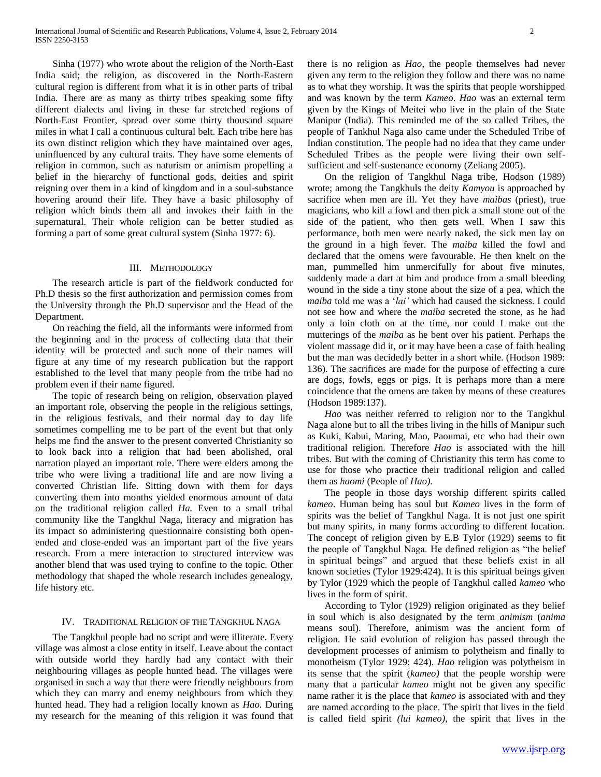Sinha (1977) who wrote about the religion of the North-East India said; the religion, as discovered in the North-Eastern cultural region is different from what it is in other parts of tribal India. There are as many as thirty tribes speaking some fifty different dialects and living in these far stretched regions of North-East Frontier, spread over some thirty thousand square miles in what I call a continuous cultural belt. Each tribe here has its own distinct religion which they have maintained over ages, uninfluenced by any cultural traits. They have some elements of religion in common, such as naturism or animism propelling a belief in the hierarchy of functional gods, deities and spirit reigning over them in a kind of kingdom and in a soul-substance hovering around their life. They have a basic philosophy of religion which binds them all and invokes their faith in the supernatural. Their whole religion can be better studied as forming a part of some great cultural system (Sinha 1977: 6).

## III. METHODOLOGY

 The research article is part of the fieldwork conducted for Ph.D thesis so the first authorization and permission comes from the University through the Ph.D supervisor and the Head of the Department.

 On reaching the field, all the informants were informed from the beginning and in the process of collecting data that their identity will be protected and such none of their names will figure at any time of my research publication but the rapport established to the level that many people from the tribe had no problem even if their name figured.

 The topic of research being on religion, observation played an important role, observing the people in the religious settings, in the religious festivals, and their normal day to day life sometimes compelling me to be part of the event but that only helps me find the answer to the present converted Christianity so to look back into a religion that had been abolished, oral narration played an important role. There were elders among the tribe who were living a traditional life and are now living a converted Christian life. Sitting down with them for days converting them into months yielded enormous amount of data on the traditional religion called *Ha.* Even to a small tribal community like the Tangkhul Naga, literacy and migration has its impact so administering questionnaire consisting both openended and close-ended was an important part of the five years research. From a mere interaction to structured interview was another blend that was used trying to confine to the topic. Other methodology that shaped the whole research includes genealogy, life history etc.

## IV. TRADITIONAL RELIGION OF THE TANGKHUL NAGA

 The Tangkhul people had no script and were illiterate. Every village was almost a close entity in itself. Leave about the contact with outside world they hardly had any contact with their neighbouring villages as people hunted head. The villages were organised in such a way that there were friendly neighbours from which they can marry and enemy neighbours from which they hunted head. They had a religion locally known as *Hao.* During my research for the meaning of this religion it was found that

there is no religion as *Hao*, the people themselves had never given any term to the religion they follow and there was no name as to what they worship. It was the spirits that people worshipped and was known by the term *Kameo*. *Hao* was an external term given by the Kings of Meitei who live in the plain of the State Manipur (India). This reminded me of the so called Tribes, the people of Tankhul Naga also came under the Scheduled Tribe of Indian constitution. The people had no idea that they came under Scheduled Tribes as the people were living their own selfsufficient and self-sustenance economy (Zeliang 2005).

 On the religion of Tangkhul Naga tribe, Hodson (1989) wrote; among the Tangkhuls the deity *Kamyou* is approached by sacrifice when men are ill. Yet they have *maibas* (priest), true magicians, who kill a fowl and then pick a small stone out of the side of the patient, who then gets well. When I saw this performance, both men were nearly naked, the sick men lay on the ground in a high fever. The *maiba* killed the fowl and declared that the omens were favourable. He then knelt on the man, pummelled him unmercifully for about five minutes, suddenly made a dart at him and produce from a small bleeding wound in the side a tiny stone about the size of a pea, which the *maiba* told me was a '*lai'* which had caused the sickness. I could not see how and where the *maiba* secreted the stone, as he had only a loin cloth on at the time, nor could I make out the mutterings of the *maiba* as he bent over his patient. Perhaps the violent massage did it, or it may have been a case of faith healing but the man was decidedly better in a short while. (Hodson 1989: 136). The sacrifices are made for the purpose of effecting a cure are dogs, fowls, eggs or pigs. It is perhaps more than a mere coincidence that the omens are taken by means of these creatures (Hodson 1989:137).

 *Hao* was neither referred to religion nor to the Tangkhul Naga alone but to all the tribes living in the hills of Manipur such as Kuki, Kabui, Maring, Mao, Paoumai, etc who had their own traditional religion. Therefore *Hao* is associated with the hill tribes. But with the coming of Christianity this term has come to use for those who practice their traditional religion and called them as *haomi* (People of *Hao)*.

 The people in those days worship different spirits called *kameo*. Human being has soul but *Kameo* lives in the form of spirits was the belief of Tangkhul Naga. It is not just one spirit but many spirits, in many forms according to different location. The concept of religion given by E.B Tylor (1929) seems to fit the people of Tangkhul Naga. He defined religion as "the belief in spiritual beings" and argued that these beliefs exist in all known societies (Tylor 1929:424). It is this spiritual beings given by Tylor (1929 which the people of Tangkhul called *kameo* who lives in the form of spirit.

 According to Tylor (1929) religion originated as they belief in soul which is also designated by the term *animism* (*anima*  means soul). Therefore, animism was the ancient form of religion. He said evolution of religion has passed through the development processes of animism to polytheism and finally to monotheism (Tylor 1929: 424). *Hao* religion was polytheism in its sense that the spirit (*kameo)* that the people worship were many that a particular *kameo* might not be given any specific name rather it is the place that *kameo* is associated with and they are named according to the place. The spirit that lives in the field is called field spirit *(lui kameo)*, the spirit that lives in the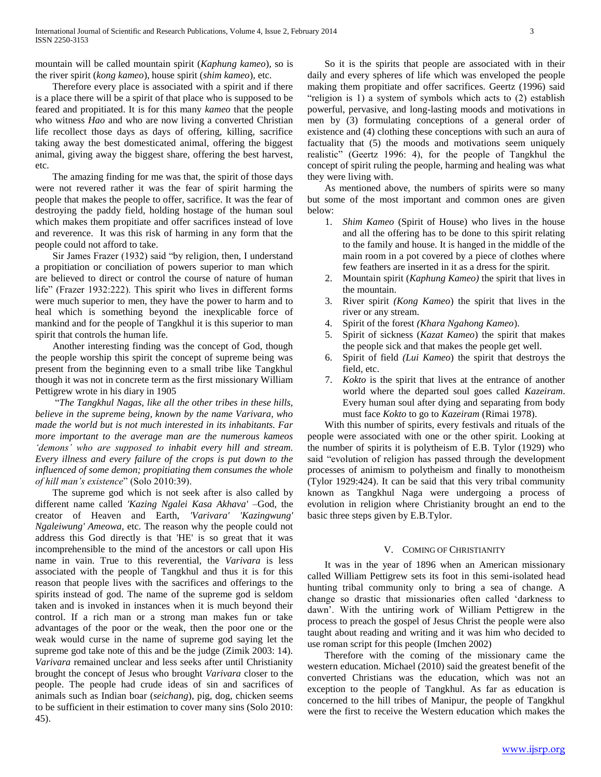mountain will be called mountain spirit (*Kaphung kameo*), so is the river spirit (*kong kameo*), house spirit (*shim kameo*), etc.

 Therefore every place is associated with a spirit and if there is a place there will be a spirit of that place who is supposed to be feared and propitiated. It is for this many *kameo* that the people who witness *Hao* and who are now living a converted Christian life recollect those days as days of offering, killing, sacrifice taking away the best domesticated animal, offering the biggest animal, giving away the biggest share, offering the best harvest, etc.

 The amazing finding for me was that, the spirit of those days were not revered rather it was the fear of spirit harming the people that makes the people to offer, sacrifice. It was the fear of destroying the paddy field, holding hostage of the human soul which makes them propitiate and offer sacrifices instead of love and reverence. It was this risk of harming in any form that the people could not afford to take.

 Sir James Frazer (1932) said "by religion, then, I understand a propitiation or conciliation of powers superior to man which are believed to direct or control the course of nature of human life" (Frazer 1932:222). This spirit who lives in different forms were much superior to men, they have the power to harm and to heal which is something beyond the inexplicable force of mankind and for the people of Tangkhul it is this superior to man spirit that controls the human life.

 Another interesting finding was the concept of God, though the people worship this spirit the concept of supreme being was present from the beginning even to a small tribe like Tangkhul though it was not in concrete term as the first missionary William Pettigrew wrote in his diary in 1905

 "*The Tangkhul Nagas, like all the other tribes in these hills, believe in the supreme being, known by the name Varivara, who made the world but is not much interested in its inhabitants. Far more important to the average man are the numerous kameos 'demons' who are supposed to inhabit every hill and stream. Every illness and every failure of the crops is put down to the influenced of some demon; propitiating them consumes the whole of hill man's existence*" (Solo 2010:39).

 The supreme god which is not seek after is also called by different name called *'Kazing Ngalei Kasa Akhava'* –God, the creator of Heaven and Earth, *'Varivara' 'Kazingwung' Ngaleiwung' Ameowa,* etc. The reason why the people could not address this God directly is that 'HE' is so great that it was incomprehensible to the mind of the ancestors or call upon His name in vain. True to this reverential, the *Varivara* is less associated with the people of Tangkhul and thus it is for this reason that people lives with the sacrifices and offerings to the spirits instead of god. The name of the supreme god is seldom taken and is invoked in instances when it is much beyond their control. If a rich man or a strong man makes fun or take advantages of the poor or the weak, then the poor one or the weak would curse in the name of supreme god saying let the supreme god take note of this and be the judge (Zimik 2003: 14). *Varivara* remained unclear and less seeks after until Christianity brought the concept of Jesus who brought *Varivara* closer to the people. The people had crude ideas of sin and sacrifices of animals such as Indian boar (*seichang*), pig, dog, chicken seems to be sufficient in their estimation to cover many sins (Solo 2010: 45).

 So it is the spirits that people are associated with in their daily and every spheres of life which was enveloped the people making them propitiate and offer sacrifices. Geertz (1996) said "religion is 1) a system of symbols which acts to (2) establish powerful, pervasive, and long-lasting moods and motivations in men by (3) formulating conceptions of a general order of existence and (4) clothing these conceptions with such an aura of factuality that (5) the moods and motivations seem uniquely realistic" (Geertz 1996: 4), for the people of Tangkhul the concept of spirit ruling the people, harming and healing was what they were living with.

 As mentioned above, the numbers of spirits were so many but some of the most important and common ones are given below:

- 1. *Shim Kameo* (Spirit of House) who lives in the house and all the offering has to be done to this spirit relating to the family and house. It is hanged in the middle of the main room in a pot covered by a piece of clothes where few feathers are inserted in it as a dress for the spirit.
- 2. Mountain spirit (*Kaphung Kameo)* the spirit that lives in the mountain.
- 3. River spirit *(Kong Kameo*) the spirit that lives in the river or any stream.
- 4. Spirit of the forest *(Khara Ngahong Kameo*).
- 5. Spirit of sickness (*Kazat Kameo*) the spirit that makes the people sick and that makes the people get well.
- 6. Spirit of field *(Lui Kameo*) the spirit that destroys the field, etc.
- 7. *Kokto* is the spirit that lives at the entrance of another world where the departed soul goes called *Kazeiram*. Every human soul after dying and separating from body must face *Kokto* to go to *Kazeiram* (Rimai 1978).

 With this number of spirits, every festivals and rituals of the people were associated with one or the other spirit. Looking at the number of spirits it is polytheism of E.B. Tylor (1929) who said "evolution of religion has passed through the development processes of animism to polytheism and finally to monotheism (Tylor 1929:424). It can be said that this very tribal community known as Tangkhul Naga were undergoing a process of evolution in religion where Christianity brought an end to the basic three steps given by E.B.Tylor.

# V. COMING OF CHRISTIANITY

 It was in the year of 1896 when an American missionary called William Pettigrew sets its foot in this semi-isolated head hunting tribal community only to bring a sea of change. A change so drastic that missionaries often called 'darkness to dawn'. With the untiring work of William Pettigrew in the process to preach the gospel of Jesus Christ the people were also taught about reading and writing and it was him who decided to use roman script for this people (Imchen 2002)

 Therefore with the coming of the missionary came the western education. Michael (2010) said the greatest benefit of the converted Christians was the education, which was not an exception to the people of Tangkhul. As far as education is concerned to the hill tribes of Manipur, the people of Tangkhul were the first to receive the Western education which makes the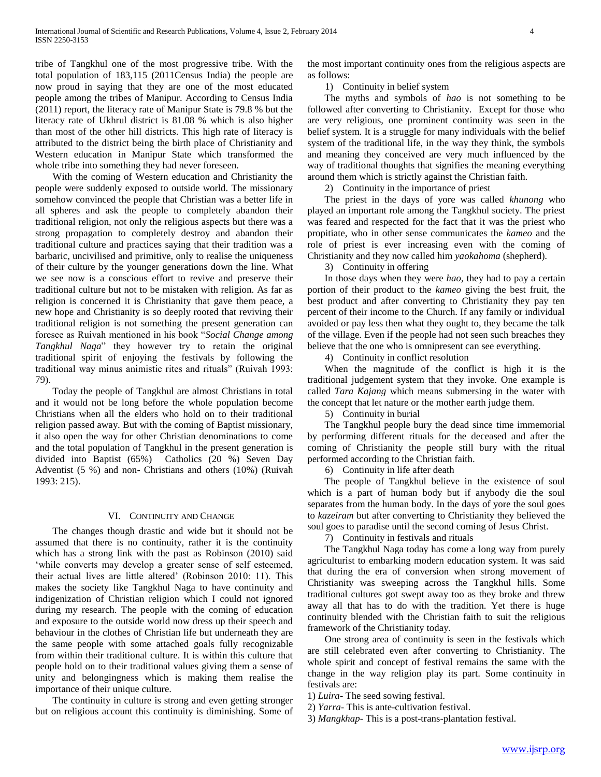tribe of Tangkhul one of the most progressive tribe. With the total population of 183,115 (2011Census India) the people are now proud in saying that they are one of the most educated people among the tribes of Manipur. According to Census India (2011) report, the literacy rate of Manipur State is 79.8 % but the literacy rate of Ukhrul district is 81.08 % which is also higher than most of the other hill districts. This high rate of literacy is attributed to the district being the birth place of Christianity and Western education in Manipur State which transformed the whole tribe into something they had never foreseen.

 With the coming of Western education and Christianity the people were suddenly exposed to outside world. The missionary somehow convinced the people that Christian was a better life in all spheres and ask the people to completely abandon their traditional religion, not only the religious aspects but there was a strong propagation to completely destroy and abandon their traditional culture and practices saying that their tradition was a barbaric, uncivilised and primitive, only to realise the uniqueness of their culture by the younger generations down the line. What we see now is a conscious effort to revive and preserve their traditional culture but not to be mistaken with religion. As far as religion is concerned it is Christianity that gave them peace, a new hope and Christianity is so deeply rooted that reviving their traditional religion is not something the present generation can foresee as Ruivah mentioned in his book "*Social Change among Tangkhul Naga*" they however try to retain the original traditional spirit of enjoying the festivals by following the traditional way minus animistic rites and rituals" (Ruivah 1993: 79).

 Today the people of Tangkhul are almost Christians in total and it would not be long before the whole population become Christians when all the elders who hold on to their traditional religion passed away. But with the coming of Baptist missionary, it also open the way for other Christian denominations to come and the total population of Tangkhul in the present generation is divided into Baptist (65%) Catholics (20 %) Seven Day Adventist (5 %) and non- Christians and others (10%) (Ruivah 1993: 215).

# VI. CONTINUITY AND CHANGE

 The changes though drastic and wide but it should not be assumed that there is no continuity, rather it is the continuity which has a strong link with the past as Robinson (2010) said 'while converts may develop a greater sense of self esteemed, their actual lives are little altered' (Robinson 2010: 11). This makes the society like Tangkhul Naga to have continuity and indigenization of Christian religion which I could not ignored during my research. The people with the coming of education and exposure to the outside world now dress up their speech and behaviour in the clothes of Christian life but underneath they are the same people with some attached goals fully recognizable from within their traditional culture. It is within this culture that people hold on to their traditional values giving them a sense of unity and belongingness which is making them realise the importance of their unique culture.

 The continuity in culture is strong and even getting stronger but on religious account this continuity is diminishing. Some of

the most important continuity ones from the religious aspects are as follows:

1) Continuity in belief system

 The myths and symbols of *hao* is not something to be followed after converting to Christianity. Except for those who are very religious, one prominent continuity was seen in the belief system. It is a struggle for many individuals with the belief system of the traditional life, in the way they think, the symbols and meaning they conceived are very much influenced by the way of traditional thoughts that signifies the meaning everything around them which is strictly against the Christian faith.

2) Continuity in the importance of priest

 The priest in the days of yore was called *khunong* who played an important role among the Tangkhul society. The priest was feared and respected for the fact that it was the priest who propitiate, who in other sense communicates the *kameo* and the role of priest is ever increasing even with the coming of Christianity and they now called him *yaokahoma* (shepherd).

3) Continuity in offering

 In those days when they were *hao,* they had to pay a certain portion of their product to the *kameo* giving the best fruit, the best product and after converting to Christianity they pay ten percent of their income to the Church. If any family or individual avoided or pay less then what they ought to, they became the talk of the village. Even if the people had not seen such breaches they believe that the one who is omnipresent can see everything.

4) Continuity in conflict resolution

 When the magnitude of the conflict is high it is the traditional judgement system that they invoke. One example is called *Tara Kajang* which means submersing in the water with the concept that let nature or the mother earth judge them.

5) Continuity in burial

 The Tangkhul people bury the dead since time immemorial by performing different rituals for the deceased and after the coming of Christianity the people still bury with the ritual performed according to the Christian faith.

6) Continuity in life after death

 The people of Tangkhul believe in the existence of soul which is a part of human body but if anybody die the soul separates from the human body. In the days of yore the soul goes to *kazeiram* but after converting to Christianity they believed the soul goes to paradise until the second coming of Jesus Christ.

7) Continuity in festivals and rituals

 The Tangkhul Naga today has come a long way from purely agriculturist to embarking modern education system. It was said that during the era of conversion when strong movement of Christianity was sweeping across the Tangkhul hills. Some traditional cultures got swept away too as they broke and threw away all that has to do with the tradition. Yet there is huge continuity blended with the Christian faith to suit the religious framework of the Christianity today.

 One strong area of continuity is seen in the festivals which are still celebrated even after converting to Christianity. The whole spirit and concept of festival remains the same with the change in the way religion play its part. Some continuity in festivals are:

1) *Luira-* The seed sowing festival.

2) *Yarra*- This is ante-cultivation festival.

3) *Mangkhap-* This is a post-trans-plantation festival.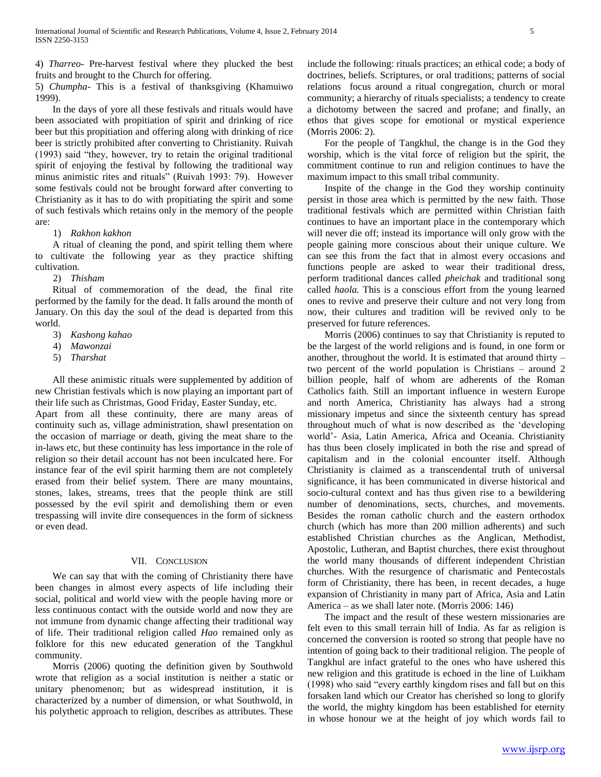4) *Tharreo*- Pre-harvest festival where they plucked the best fruits and brought to the Church for offering.

5) *Chumpha*- This is a festival of thanksgiving (Khamuiwo 1999).

 In the days of yore all these festivals and rituals would have been associated with propitiation of spirit and drinking of rice beer but this propitiation and offering along with drinking of rice beer is strictly prohibited after converting to Christianity. Ruivah (1993) said "they, however, try to retain the original traditional spirit of enjoying the festival by following the traditional way minus animistic rites and rituals" (Ruivah 1993: 79). However some festivals could not be brought forward after converting to Christianity as it has to do with propitiating the spirit and some of such festivals which retains only in the memory of the people are:

## 1) *Rakhon kakhon*

 A ritual of cleaning the pond, and spirit telling them where to cultivate the following year as they practice shifting cultivation.

## 2) *Thisham*

 Ritual of commemoration of the dead, the final rite performed by the family for the dead. It falls around the month of January. On this day the soul of the dead is departed from this world.

- 3) *Kashong kahao*
- 4) *Mawonzai*
- 5) *Tharshat*

or even dead.

 All these animistic rituals were supplemented by addition of new Christian festivals which is now playing an important part of their life such as Christmas, Good Friday, Easter Sunday, etc. Apart from all these continuity, there are many areas of continuity such as, village administration, shawl presentation on the occasion of marriage or death, giving the meat share to the in-laws etc, but these continuity has less importance in the role of religion so their detail account has not been inculcated here. For instance fear of the evil spirit harming them are not completely erased from their belief system. There are many mountains, stones, lakes, streams, trees that the people think are still possessed by the evil spirit and demolishing them or even trespassing will invite dire consequences in the form of sickness

#### VII. CONCLUSION

 We can say that with the coming of Christianity there have been changes in almost every aspects of life including their social, political and world view with the people having more or less continuous contact with the outside world and now they are not immune from dynamic change affecting their traditional way of life. Their traditional religion called *Hao* remained only as folklore for this new educated generation of the Tangkhul community.

 Morris (2006) quoting the definition given by Southwold wrote that religion as a social institution is neither a static or unitary phenomenon; but as widespread institution, it is characterized by a number of dimension, or what Southwold, in his polythetic approach to religion, describes as attributes. These

include the following: rituals practices; an ethical code; a body of doctrines, beliefs. Scriptures, or oral traditions; patterns of social relations focus around a ritual congregation, church or moral community; a hierarchy of rituals specialists; a tendency to create a dichotomy between the sacred and profane; and finally, an ethos that gives scope for emotional or mystical experience (Morris 2006: 2).

 For the people of Tangkhul, the change is in the God they worship, which is the vital force of religion but the spirit, the commitment continue to run and religion continues to have the maximum impact to this small tribal community.

 Inspite of the change in the God they worship continuity persist in those area which is permitted by the new faith. Those traditional festivals which are permitted within Christian faith continues to have an important place in the contemporary which will never die off; instead its importance will only grow with the people gaining more conscious about their unique culture. We can see this from the fact that in almost every occasions and functions people are asked to wear their traditional dress, perform traditional dances called *pheichak* and traditional song called *haola.* This is a conscious effort from the young learned ones to revive and preserve their culture and not very long from now, their cultures and tradition will be revived only to be preserved for future references.

 Morris (2006) continues to say that Christianity is reputed to be the largest of the world religions and is found, in one form or another, throughout the world. It is estimated that around thirty – two percent of the world population is Christians – around 2 billion people, half of whom are adherents of the Roman Catholics faith. Still an important influence in western Europe and north America, Christianity has always had a strong missionary impetus and since the sixteenth century has spread throughout much of what is now described as the 'developing world'- Asia, Latin America, Africa and Oceania. Christianity has thus been closely implicated in both the rise and spread of capitalism and in the colonial encounter itself. Although Christianity is claimed as a transcendental truth of universal significance, it has been communicated in diverse historical and socio-cultural context and has thus given rise to a bewildering number of denominations, sects, churches, and movements. Besides the roman catholic church and the eastern orthodox church (which has more than 200 million adherents) and such established Christian churches as the Anglican, Methodist, Apostolic, Lutheran, and Baptist churches, there exist throughout the world many thousands of different independent Christian churches. With the resurgence of charismatic and Pentecostals form of Christianity, there has been, in recent decades, a huge expansion of Christianity in many part of Africa, Asia and Latin America – as we shall later note. (Morris 2006: 146)

 The impact and the result of these western missionaries are felt even to this small terrain hill of India. As far as religion is concerned the conversion is rooted so strong that people have no intention of going back to their traditional religion. The people of Tangkhul are infact grateful to the ones who have ushered this new religion and this gratitude is echoed in the line of Luikham (1998) who said "every earthly kingdom rises and fall but on this forsaken land which our Creator has cherished so long to glorify the world, the mighty kingdom has been established for eternity in whose honour we at the height of joy which words fail to